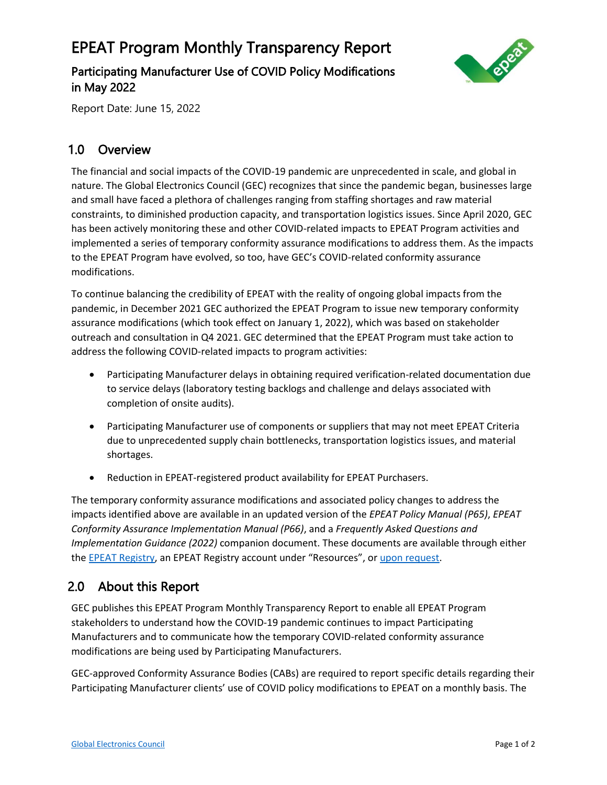## EPEAT Program Monthly Transparency Report

Participating Manufacturer Use of COVID Policy Modifications in May 2022



Report Date: June 15, 2022

## 1.0 Overview

The financial and social impacts of the COVID-19 pandemic are unprecedented in scale, and global in nature. The Global Electronics Council (GEC) recognizes that since the pandemic began, businesses large and small have faced a plethora of challenges ranging from staffing shortages and raw material constraints, to diminished production capacity, and transportation logistics issues. Since April 2020, GEC has been actively monitoring these and other COVID-related impacts to EPEAT Program activities and implemented a series of temporary conformity assurance modifications to address them. As the impacts to the EPEAT Program have evolved, so too, have GEC's COVID-related conformity assurance modifications.

To continue balancing the credibility of EPEAT with the reality of ongoing global impacts from the pandemic, in December 2021 GEC authorized the EPEAT Program to issue new temporary conformity assurance modifications (which took effect on January 1, 2022), which was based on stakeholder outreach and consultation in Q4 2021. GEC determined that the EPEAT Program must take action to address the following COVID-related impacts to program activities:

- Participating Manufacturer delays in obtaining required verification-related documentation due to service delays (laboratory testing backlogs and challenge and delays associated with completion of onsite audits).
- Participating Manufacturer use of components or suppliers that may not meet EPEAT Criteria due to unprecedented supply chain bottlenecks, transportation logistics issues, and material shortages.
- Reduction in EPEAT-registered product availability for EPEAT Purchasers.

The temporary conformity assurance modifications and associated policy changes to address the impacts identified above are available in an updated version of the *EPEAT Policy Manual (P65)*, *EPEAT Conformity Assurance Implementation Manual (P66)*, and a *Frequently Asked Questions and Implementation Guidance (2022)* companion document. These documents are available through either th[e EPEAT Registry](https://epeat.net/about-epeat), an EPEAT Registry account under "Resources", or [upon request.](mailto:EPEAT@GEC.org)

## 2.0 About this Report

GEC publishes this EPEAT Program Monthly Transparency Report to enable all EPEAT Program stakeholders to understand how the COVID-19 pandemic continues to impact Participating Manufacturers and to communicate how the temporary COVID-related conformity assurance modifications are being used by Participating Manufacturers.

GEC-approved Conformity Assurance Bodies (CABs) are required to report specific details regarding their Participating Manufacturer clients' use of COVID policy modifications to EPEAT on a monthly basis. The